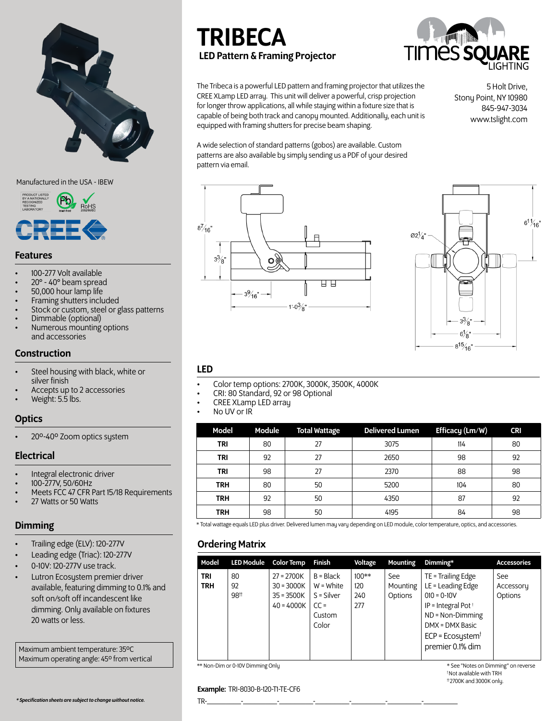

#### Manufactured in the USA - IBEW



### Features

- 100-277 Volt available
- 20° 40° beam spread
- 50,000 hour lamp life
- Framing shutters included
- Stock or custom, steel or glass patterns
- Dimmable (optional)
- Numerous mounting options and accessories

#### **Construction**

- Steel housing with black, white or silver finish
- Accepts up to 2 accessories
- Weight: 5.5 lbs.

#### **Optics**

• 20º-40º Zoom optics system

### Electrical

- 
- 
- Integral electronic driver 100-277V, 50/60Hz Meets FCC 47 CFR Part 15/18 Requirements 27 Watts or 50 Watts
- 

- Trailing edge (ELV): 120-277V
- Leading edge (Triac): 120-277V
- 0-10V: 120-277V use track.
- Lutron Ecosystem premier driver available, featuring dimming to 0.1% and soft on/soft off incandescent like dimming. Only available on fixtures 20 watts or less.

Maximum ambient temperature: 35ºC Maximum operating angle: 45º from vertical

# TRIBECA LED Pattern & Framing Projector



The Tribeca is a powerful LED pattern and framing projector that utilizes the CREE XLamp LED array. This unit will deliver a powerful, crisp projection for longer throw applications, all while staying within a fixture size that is capable of being both track and canopy mounted. Additionally, each unit is equipped with framing shutters for precise beam shaping.

A wide selection of standard patterns (gobos) are available. Custom patterns are also available by simply sending us a PDF of your desired

5 Holt Drive, Stony Point, NY 10980 845-947-3034 www.tslight.com

 $8\frac{7}{16}$ "  $3\frac{3}{8}$ " 9 p ĦВ  $3\%$ <sub>16</sub>" —  $1'-0^3/8$ 



### LED

- Color temp options: 2700K, 3000K, 3500K, 4000K CRI: 80 Standard, 92 or 98 Optional CREE XLamp LED array No UV or IR
- 
- 
- 

pattern via email.

| Model      | <b>Module</b> | <b>Total Wattage</b> | <b>Delivered Lumen</b> | Efficacy (Lm/W) | <b>CRI</b> |
|------------|---------------|----------------------|------------------------|-----------------|------------|
| <b>TRI</b> | 80            | 27                   | 3075                   | 114             | 80         |
| <b>TRI</b> | 92            | 27                   | 2650                   | 98              | 92         |
| TRI        | 98            | 27                   | 2370                   | 88              | 98         |
| <b>TRH</b> | 80            | 50                   | 5200                   | 104             | 80         |
| <b>TRH</b> | 92            | 50                   | 4350                   | 87              | 92         |
| <b>TRH</b> | 98            | 50                   | 4195                   | 84              | 98         |

**Dimming Example 20** and accessories. Total wattage equals LED plus driver. Delivered lumen may vary depending on LED module, color temperature, optics, and accessories.

### Ordering Matrix

| $100**$<br>TE = Trailing Edge<br>$27 = 2700K$<br>$B = Black$<br><b>TRI</b><br>80<br>See<br>See<br>LE = Leading Edge<br>$W = White$<br><b>TRH</b><br>$30 = 3000K$<br>92<br>120<br>Mounting<br>Accessory<br>98#<br>$S =$ Silver<br>$35 = 3500K$<br>$010 = 0 - 10V$<br>Options<br>240<br>Options<br>IP = Integral Pot <sup>+</sup><br>$40 = 4000K$<br>277<br>$CC =$<br>$ND = Non-Dimming$<br>Custom<br>Color<br>DMX = DMX Basic | Model | <b>LED Module</b> | <b>Color Temp</b> | Finish | Voltage | <b>Mounting</b> | Dimming*                        | <b>Accessories</b> |
|------------------------------------------------------------------------------------------------------------------------------------------------------------------------------------------------------------------------------------------------------------------------------------------------------------------------------------------------------------------------------------------------------------------------------|-------|-------------------|-------------------|--------|---------|-----------------|---------------------------------|--------------------|
| premier 0.1% dim                                                                                                                                                                                                                                                                                                                                                                                                             |       |                   |                   |        |         |                 | $ECP = Ecos$ ystem <sup>†</sup> |                    |

\*\* Non-Dim or 0-10V Dimming Only

\* See "Notes on Dimming" on reverse † Not available with TRH †† 2700K and 3000K only.

#### Example: TRI-8030-B-120-T1-TE-CF6

*\* Specification sheets are subject to change without notice.* TR-\_\_\_\_\_\_\_\_\_-\_\_\_\_\_\_\_\_\_-\_\_\_\_\_\_\_\_\_-\_\_\_\_\_\_\_\_\_-\_\_\_\_\_\_\_\_\_-\_\_\_\_\_\_\_\_\_-\_\_\_\_\_\_\_\_\_